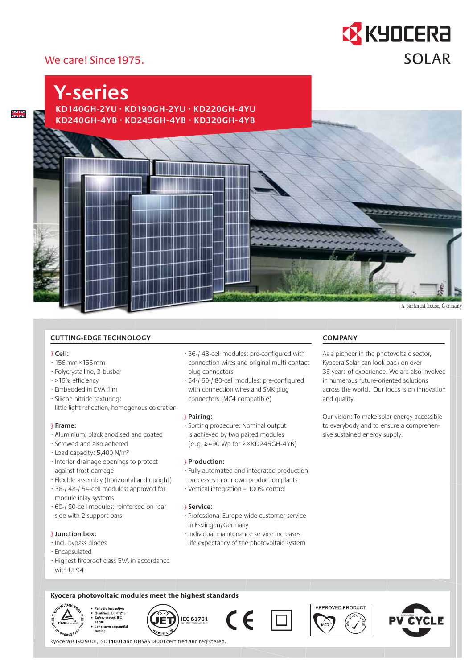# **EX KYOCERA SOLAR**

# We care! Since 1975.

# $rac{N}{N}$

**KD140GH-2YU · KD190GH-2YU · KD220GH-4YU KD240GH-4YB · KD245GH-4YB · KD320GH-4YB Y-series**

# **CUTTING-EDGE TECHNOLOGY**

#### } **Cell:**

- · 156 mm × 156 mm
- · Polycrystalline, 3-busbar
- · >16% efficiency
- · Embedded in EVA film
- · Silicon nitride texturing: little light reflection, homogenous coloration

#### } **Frame:**

- · Aluminium, black anodised and coated
- · Screwed and also adhered
- · Load capacity: 5,400 N/m²
- · Interior drainage openings to protect against frost damage
- · Flexible assembly (horizontal and upright)
- · 36-/ 48-/ 54-cell modules: approved for module inlay systems
- · 60-/ 80-cell modules: reinforced on rear side with 2 support bars

### } **Junction box :**

- · Incl. bypass diodes
- · Encapsulated
- · Highest fireproof class 5VA in accordance with UL94
- · 36-/ 48-cell modules: pre-configured with connection wires and original multi-contact plug connectors
- · 54-/ 60-/ 80-cell modules: pre-configured with connection wires and SMK plug connectors (MC4 compatible)

#### } **Pairing:**

· Sorting procedure: Nominal output is achieved by two paired modules ( e. g. ≥ 490 Wp for 2 × KD245GH-4YB )

#### } **Production:**

- · Fully automated and integrated production processes in our own production plants
- · Vertical integration = 100% control

### } **Service:**

- · Professional Europe-wide customer service in Esslingen/Germany
- · Individual maintenance service increases life expectancy of the photovoltaic system

# **COMPANY**

As a pioneer in the photovoltaic sector, Kyocera Solar can look back on over 35 years of experience. We are also involved in numerous future-oriented solutions across the world. Our focus is on innovation and quality.

*Apartment house, Germany*

Our vision: To make solar energy accessible to everybody and to ensure a comprehensive sustained energy supply.

## **Kyocera photovoltaic modules meet the highest standards**



Periodic inspection<br>Qualified, IEC 61215<br>Safety tested, IEC<br>61730









Kyocera is ISO 9001, ISO 14001 and OHSAS 18001 certified and registered.